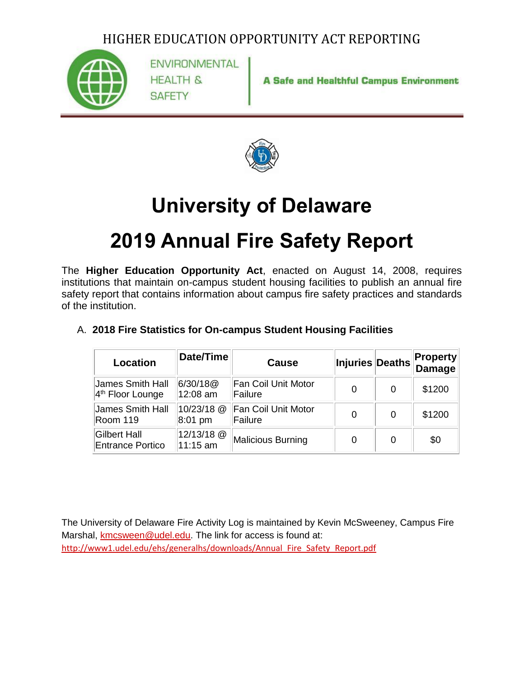

**ENVIRONMENTAL HEALTH & SAFETY** 

**A Safe and Healthful Campus Environment** 



## **University of Delaware**

# **2019 Annual Fire Safety Report**

The **Higher Education Opportunity Act**, enacted on August 14, 2008, requires institutions that maintain on-campus student housing facilities to publish an annual fire safety report that contains information about campus fire safety practices and standards of the institution.

| Location                                       | Date/Time              | Cause                                 | Injuries Deaths |   | <b>Property</b><br>Damage |
|------------------------------------------------|------------------------|---------------------------------------|-----------------|---|---------------------------|
| James Smith Hall<br>$4th$ Floor Lounge         | 6/30/18@<br>12:08 am   | <b>Fan Coil Unit Motor</b><br>Failure | $\Omega$        | 0 | \$1200                    |
| James Smith Hall<br>Room 119                   | 10/23/18 @<br>8:01 pm  | <b>Fan Coil Unit Motor</b><br>Failure | $\Omega$        | 0 | \$1200                    |
| <b>Gilbert Hall</b><br><b>Entrance Portico</b> | 12/13/18 @<br>11:15 am | Malicious Burning                     | 0               | 0 | \$0                       |

#### A. **2018 Fire Statistics for On-campus Student Housing Facilities**

The University of Delaware Fire Activity Log is maintained by Kevin McSweeney, Campus Fire Marshal, [kmcsween@udel.edu.](mailto:kmcsween@udel.edu) The link for access is found at: [http://www1.udel.edu/ehs/generalhs/downloads/Annual\\_Fire\\_Safety\\_Report.pdf](http://www1.udel.edu/ehs/generalhs/downloads/Annual_Fire_Safety_Report.pdf)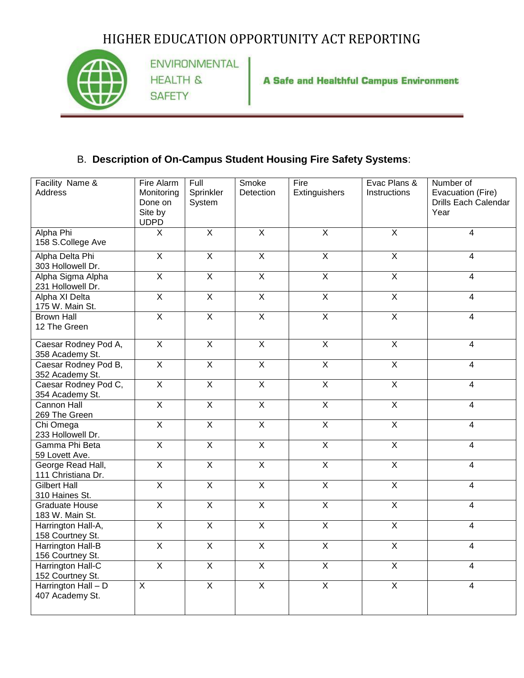

ENVIRONMENTAL **HEALTH & SAFETY** 

A Safe and Healthful Campus Environment

#### B. **Description of On-Campus Student Housing Fire Safety Systems**:

| Facility Name &                          | Fire Alarm                       | Full                    | Smoke                   | Fire                    | Evac Plans &            | Number of                                         |
|------------------------------------------|----------------------------------|-------------------------|-------------------------|-------------------------|-------------------------|---------------------------------------------------|
| <b>Address</b>                           | Monitoring<br>Done on<br>Site by | Sprinkler<br>System     | Detection               | Extinguishers           | Instructions            | Evacuation (Fire)<br>Drills Each Calendar<br>Year |
|                                          | <b>UDPD</b>                      |                         |                         |                         |                         |                                                   |
| Alpha Phi<br>158 S.College Ave           | $\pmb{\times}$                   | $\overline{X}$          | $\overline{\mathsf{x}}$ | $\overline{X}$          | $\overline{\mathsf{X}}$ | 4                                                 |
| Alpha Delta Phi<br>303 Hollowell Dr.     | $\overline{X}$                   | $\overline{X}$          | $\overline{X}$          | $\overline{X}$          | $\overline{\mathsf{X}}$ | 4                                                 |
| Alpha Sigma Alpha<br>231 Hollowell Dr.   | $\overline{X}$                   | $\overline{X}$          | $\overline{X}$          | $\overline{X}$          | $\overline{X}$          | 4                                                 |
| Alpha XI Delta<br>175 W. Main St.        | $\overline{X}$                   | $\overline{X}$          | $\overline{X}$          | $\overline{\mathsf{X}}$ | $\overline{\mathsf{x}}$ | $\overline{4}$                                    |
| <b>Brown Hall</b><br>12 The Green        | $\overline{X}$                   | $\overline{X}$          | $\overline{X}$          | $\overline{\mathsf{X}}$ | $\overline{\mathsf{X}}$ | $\overline{4}$                                    |
| Caesar Rodney Pod A,<br>358 Academy St.  | $\overline{X}$                   | $\overline{X}$          | $\overline{X}$          | $\overline{X}$          | $\overline{\mathsf{x}}$ | $\overline{4}$                                    |
| Caesar Rodney Pod B,<br>352 Academy St.  | $\overline{X}$                   | $\overline{X}$          | $\overline{X}$          | $\overline{X}$          | $\overline{X}$          | $\overline{4}$                                    |
| Caesar Rodney Pod C,<br>354 Academy St.  | $\overline{X}$                   | $\overline{\mathsf{x}}$ | $\overline{\mathsf{x}}$ | $\overline{X}$          | $\overline{\mathsf{x}}$ | $\overline{\mathbf{4}}$                           |
| Cannon Hall<br>269 The Green             | $\overline{X}$                   | $\overline{X}$          | $\overline{X}$          | $\overline{\mathsf{X}}$ | $\overline{\mathsf{x}}$ | 4                                                 |
| Chi Omega<br>233 Hollowell Dr.           | $\overline{X}$                   | $\overline{\mathsf{x}}$ | $\overline{X}$          | $\overline{\mathsf{X}}$ | $\overline{\mathsf{X}}$ | 4                                                 |
| Gamma Phi Beta<br>59 Lovett Ave.         | $\overline{X}$                   | $\overline{X}$          | $\overline{X}$          | $\overline{X}$          | $\overline{X}$          | $\overline{4}$                                    |
| George Read Hall,<br>111 Christiana Dr.  | $\overline{X}$                   | $\overline{X}$          | $\overline{X}$          | $\overline{X}$          | $\overline{\mathsf{X}}$ | 4                                                 |
| <b>Gilbert Hall</b><br>310 Haines St.    | $\overline{X}$                   | $\overline{X}$          | $\overline{X}$          | $\overline{\mathsf{x}}$ | $\overline{\mathsf{X}}$ | 4                                                 |
| <b>Graduate House</b><br>183 W. Main St. | $\overline{X}$                   | $\overline{X}$          | $\overline{X}$          | $\overline{X}$          | $\overline{X}$          | 4                                                 |
| Harrington Hall-A,<br>158 Courtney St.   | $\overline{X}$                   | $\overline{X}$          | $\overline{X}$          | $\overline{\mathsf{X}}$ | $\overline{\mathsf{x}}$ | $\overline{4}$                                    |
| Harrington Hall-B<br>156 Courtney St.    | $\overline{X}$                   | $\overline{X}$          | $\overline{X}$          | $\overline{\mathsf{X}}$ | $\overline{\mathsf{X}}$ | 4                                                 |
| Harrington Hall-C<br>152 Courtney St.    | $\overline{X}$                   | $\overline{X}$          | $\overline{X}$          | $\overline{X}$          | $\overline{\mathsf{X}}$ | 4                                                 |
| Harrington Hall - D<br>407 Academy St.   | $\mathsf{X}$                     | $\overline{X}$          | $\overline{X}$          | $\overline{X}$          | $\overline{X}$          | $\overline{\mathbf{4}}$                           |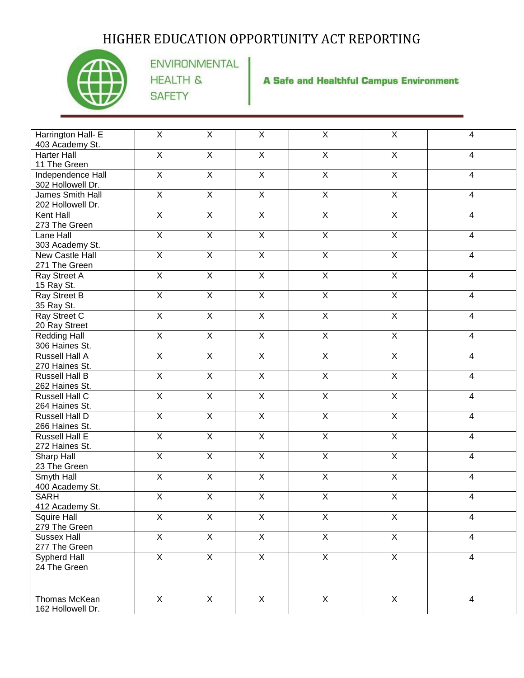

ENVIRONMENTAL **HEALTH & SAFETY** 

**A Safe and Healthful Campus Environment** 

| Harrington Hall- E<br>403 Academy St.   | X                       | $\pmb{\times}$          | $\pmb{\times}$          | $\mathsf{X}$            | $\pmb{\times}$          | $\overline{\mathbf{4}}$ |
|-----------------------------------------|-------------------------|-------------------------|-------------------------|-------------------------|-------------------------|-------------------------|
| <b>Harter Hall</b><br>11 The Green      | $\overline{X}$          | $\overline{X}$          | $\overline{X}$          | $\overline{X}$          | $\overline{X}$          | 4                       |
| Independence Hall<br>302 Hollowell Dr.  | $\overline{X}$          | $\overline{X}$          | $\overline{\mathsf{x}}$ | $\overline{X}$          | $\overline{X}$          | $\overline{4}$          |
| James Smith Hall<br>202 Hollowell Dr.   | $\overline{X}$          | $\overline{X}$          | $\overline{X}$          | $\overline{X}$          | $\overline{X}$          | 4                       |
| Kent Hall<br>273 The Green              | $\overline{X}$          | $\overline{X}$          | $\overline{X}$          | $\overline{X}$          | $\overline{X}$          | $\overline{\mathbf{4}}$ |
| Lane Hall<br>303 Academy St.            | $\overline{\mathsf{X}}$ | $\overline{\mathsf{X}}$ | $\overline{X}$          | $\overline{\mathsf{X}}$ | $\overline{X}$          | 4                       |
| New Castle Hall<br>271 The Green        | $\overline{X}$          | $\overline{X}$          | $\overline{X}$          | $\overline{X}$          | $\overline{X}$          | $\overline{4}$          |
| Ray Street A<br>15 Ray St.              | $\overline{X}$          | $\overline{X}$          | $\overline{X}$          | $\overline{X}$          | $\overline{X}$          | 4                       |
| Ray Street B<br>35 Ray St.              | $\overline{X}$          | $\overline{X}$          | $\overline{X}$          | $\overline{X}$          | $\overline{X}$          | 4                       |
| Ray Street C<br>20 Ray Street           | $\overline{X}$          | $\overline{X}$          | $\overline{X}$          | $\overline{X}$          | $\overline{X}$          | $\overline{4}$          |
| <b>Redding Hall</b><br>306 Haines St.   | $\overline{X}$          | $\overline{X}$          | $\overline{X}$          | $\overline{X}$          | $\overline{\mathsf{x}}$ | $\overline{4}$          |
| <b>Russell Hall A</b><br>270 Haines St. | $\overline{X}$          | $\overline{X}$          | $\overline{X}$          | $\overline{X}$          | $\overline{\mathsf{x}}$ | $\overline{\mathbf{4}}$ |
| <b>Russell Hall B</b><br>262 Haines St. | $\mathsf{X}$            | $\overline{X}$          | $\overline{X}$          | $\mathsf{X}$            | $\overline{X}$          | $\overline{4}$          |
| <b>Russell Hall C</b><br>264 Haines St. | $\overline{X}$          | $\overline{X}$          | $\overline{X}$          | $\overline{X}$          | $\overline{X}$          | $\overline{\mathbf{4}}$ |
| <b>Russell Hall D</b><br>266 Haines St. | $\overline{X}$          | $\overline{X}$          | $\overline{X}$          | $\overline{X}$          | $\overline{\mathsf{x}}$ | $\overline{\mathbf{4}}$ |
| Russell Hall E<br>272 Haines St.        | $\mathsf{X}$            | $\overline{X}$          | $\overline{X}$          | $\overline{X}$          | $\mathsf{X}$            | $\overline{\mathbf{4}}$ |
| Sharp Hall<br>23 The Green              | $\overline{X}$          | $\overline{X}$          | $\overline{X}$          | $\overline{X}$          | $\overline{X}$          | $\overline{4}$          |
| Smyth Hall<br>400 Academy St.           | $\overline{X}$          | $\overline{X}$          | $\overline{X}$          | $\overline{X}$          | $\overline{X}$          | $\overline{4}$          |
| <b>SARH</b><br>412 Academy St.          | $\overline{X}$          | $\overline{X}$          | $\overline{X}$          | $\overline{X}$          | $\overline{X}$          | $\overline{\mathbf{4}}$ |
| Squire Hall<br>279 The Green            | X                       | X                       | X                       | $\overline{X}$          | X                       | 4                       |
| Sussex Hall<br>277 The Green            | $\overline{X}$          | $\overline{X}$          | $\overline{X}$          | $\overline{X}$          | $\overline{X}$          | $\overline{4}$          |
| Sypherd Hall<br>24 The Green            | $\overline{X}$          | $\overline{X}$          | $\overline{X}$          | $\overline{X}$          | $\overline{X}$          | $\overline{4}$          |
|                                         |                         |                         |                         |                         |                         |                         |
| Thomas McKean<br>162 Hollowell Dr.      | X                       | $\mathsf X$             | $\mathsf X$             | $\mathsf X$             | X                       | 4                       |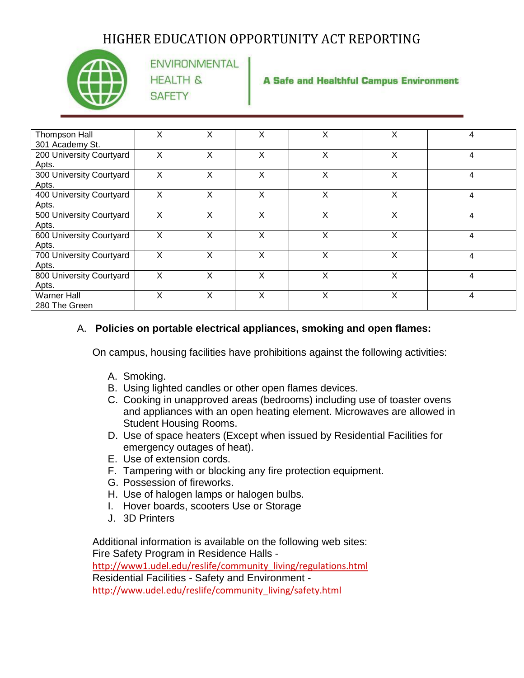

**ENVIRONMENTAL HEALTH & SAFETY** 

**A Safe and Healthful Campus Environment** 

| Thompson Hall            | X | X | X | X | X | 4 |
|--------------------------|---|---|---|---|---|---|
| 301 Academy St.          |   |   |   |   |   |   |
| 200 University Courtyard | X | X | X | X | X | 4 |
| Apts.                    |   |   |   |   |   |   |
|                          |   |   |   |   |   |   |
| 300 University Courtyard | X | X | X | X | X | 4 |
| Apts.                    |   |   |   |   |   |   |
| 400 University Courtyard | X | X | X | X | X | 4 |
| Apts.                    |   |   |   |   |   |   |
| 500 University Courtyard | X | X | X | X | X | 4 |
| Apts.                    |   |   |   |   |   |   |
| 600 University Courtyard | x | X | X | x | X | 4 |
| Apts.                    |   |   |   |   |   |   |
| 700 University Courtyard | X | X | X | X | X | 4 |
| Apts.                    |   |   |   |   |   |   |
| 800 University Courtyard | X | X | X | X | X | 4 |
| Apts.                    |   |   |   |   |   |   |
| <b>Warner Hall</b>       | X | X | X | X | X | 4 |
| 280 The Green            |   |   |   |   |   |   |

#### A. **Policies on portable electrical appliances, smoking and open flames:**

On campus, housing facilities have prohibitions against the following activities:

- A. Smoking.
- B. Using lighted candles or other open flames devices.
- C. Cooking in unapproved areas (bedrooms) including use of toaster ovens and appliances with an open heating element. Microwaves are allowed in Student Housing Rooms.
- D. Use of space heaters (Except when issued by Residential Facilities for emergency outages of heat).
- E. Use of extension cords.
- F. Tampering with or blocking any fire protection equipment.
- G. Possession of fireworks.
- H. Use of halogen lamps or halogen bulbs.
- I. Hover boards, scooters Use or Storage
- J. 3D Printers

Additional information is available on the following web sites: Fire Safety Program in Residence Halls http://www1.udel.edu/reslife/community\_living/regulations.html Residential Facilities - Safety and Environment [http://www.udel.edu/reslife/community\\_living/safety.html](http://www.udel.edu/reslife/community_living/safety.html)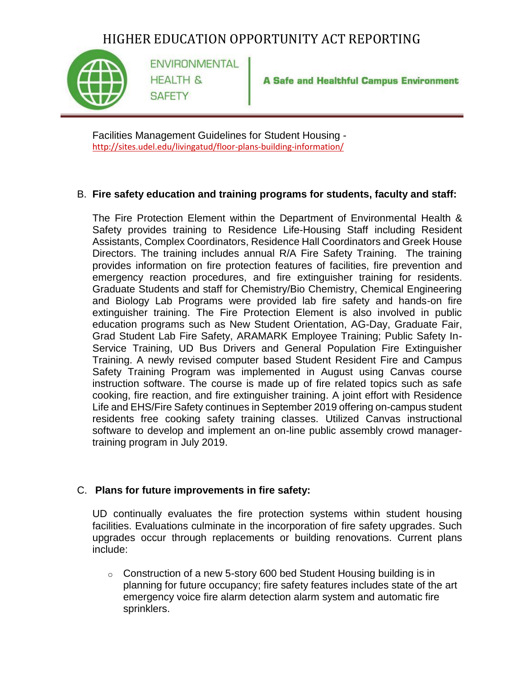

**ENVIRONMENTAL HEALTH & SAFETY** 

**A Safe and Healthful Campus Environment** 

Facilities Management Guidelines for Student Housing <http://sites.udel.edu/livingatud/floor-plans-building-information/>

#### B. **Fire safety education and training programs for students, faculty and staff:**

The Fire Protection Element within the Department of Environmental Health & Safety provides training to Residence Life-Housing Staff including Resident Assistants, Complex Coordinators, Residence Hall Coordinators and Greek House Directors. The training includes annual R/A Fire Safety Training. The training provides information on fire protection features of facilities, fire prevention and emergency reaction procedures, and fire extinguisher training for residents. Graduate Students and staff for Chemistry/Bio Chemistry, Chemical Engineering and Biology Lab Programs were provided lab fire safety and hands-on fire extinguisher training. The Fire Protection Element is also involved in public education programs such as New Student Orientation, AG-Day, Graduate Fair, Grad Student Lab Fire Safety, ARAMARK Employee Training; Public Safety In-Service Training, UD Bus Drivers and General Population Fire Extinguisher Training. A newly revised computer based Student Resident Fire and Campus Safety Training Program was implemented in August using Canvas course instruction software. The course is made up of fire related topics such as safe cooking, fire reaction, and fire extinguisher training. A joint effort with Residence Life and EHS/Fire Safety continues in September 2019 offering on-campus student residents free cooking safety training classes. Utilized Canvas instructional software to develop and implement an on-line public assembly crowd managertraining program in July 2019.

#### C. **Plans for future improvements in fire safety:**

UD continually evaluates the fire protection systems within student housing facilities. Evaluations culminate in the incorporation of fire safety upgrades. Such upgrades occur through replacements or building renovations. Current plans include:

 $\circ$  Construction of a new 5-story 600 bed Student Housing building is in planning for future occupancy; fire safety features includes state of the art emergency voice fire alarm detection alarm system and automatic fire sprinklers.